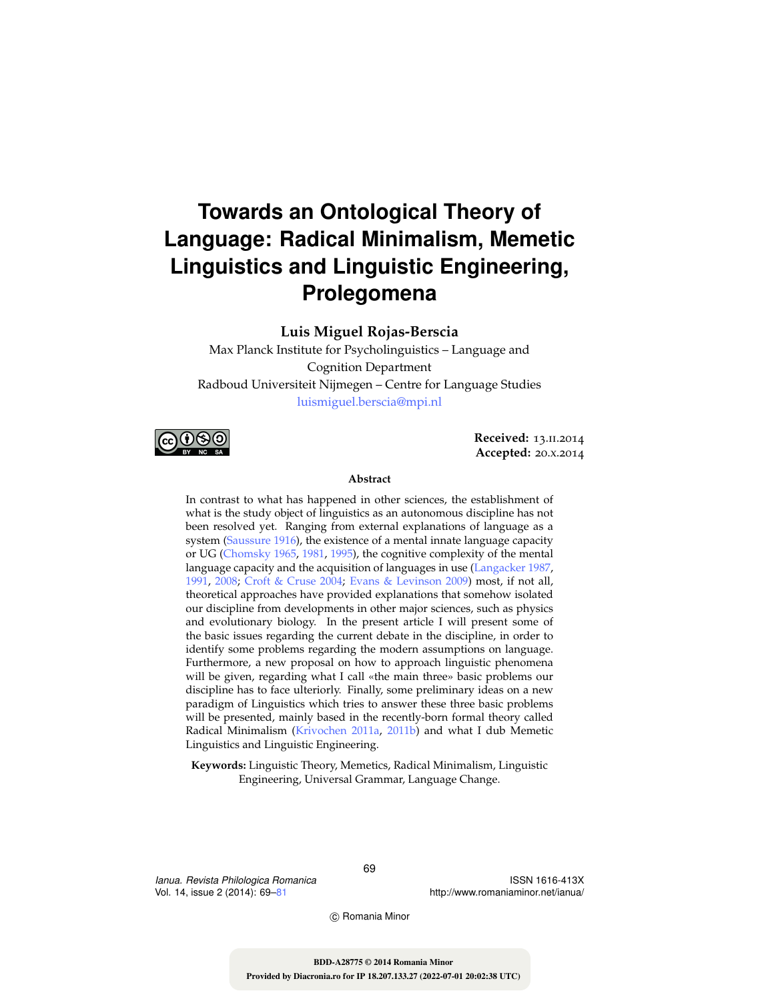# **Towards an Ontological Theory of Language: Radical Minimalism, Memetic Linguistics and Linguistic Engineering, Prolegomena**

**Luis Miguel Rojas-Berscia**

Max Planck Institute for Psycholinguistics – Language and Cognition Department Radboud Universiteit Nijmegen – Centre for Language Studies luismiguel.berscia@mpi.nl



**Received:** 13.ii.2014 **Accepted:** 20.x.2014

#### **Abstract**

In contrast to what has happened in other sciences, the establishment of what is the study object of linguistics as an autonomous discipline has not been resolved yet. Ranging from external explanations of language as a system (Saussure 1916), the existence of a mental innate language capacity or UG (Chomsky 1965, 1981, 1995), the cognitive complexity of the mental language capacity and the acquisition of languages in use (Langacker 1987, 1991, 2008; Croft & Cruse 2004; Evans & Levinson 2009) most, if not all, theoretical approaches have provided explanations that somehow isolated our discipline from developments in other major sciences, such as physics and evolutionary biology. In the present article I will present some of the basic issues regarding the current debate in the discipline, in order to identify some problems regarding the modern assumptions on language. Furthermore, a new proposal on how to approach linguistic phenomena will be given, regarding what I call «the main three» basic problems our discipline has to face ulteriorly. Finally, some preliminary ideas on a new paradigm of Linguistics which tries to answer these three basic problems will be presented, mainly based in the recently-born formal theory called Radical Minimalism (Krivochen 2011a, 2011b) and what I dub Memetic Linguistics and Linguistic Engineering.

**Keywords:** Linguistic Theory, Memetics, Radical Minimalism, Linguistic Engineering, Universal Grammar, Language Change.

*Ianua. Revista Philologica Romanica* Vol. 14, issue 2 (2014): 69–81

ISSN 1616-413X http://www.romaniaminor.net/ianua/

c Romania Minor

69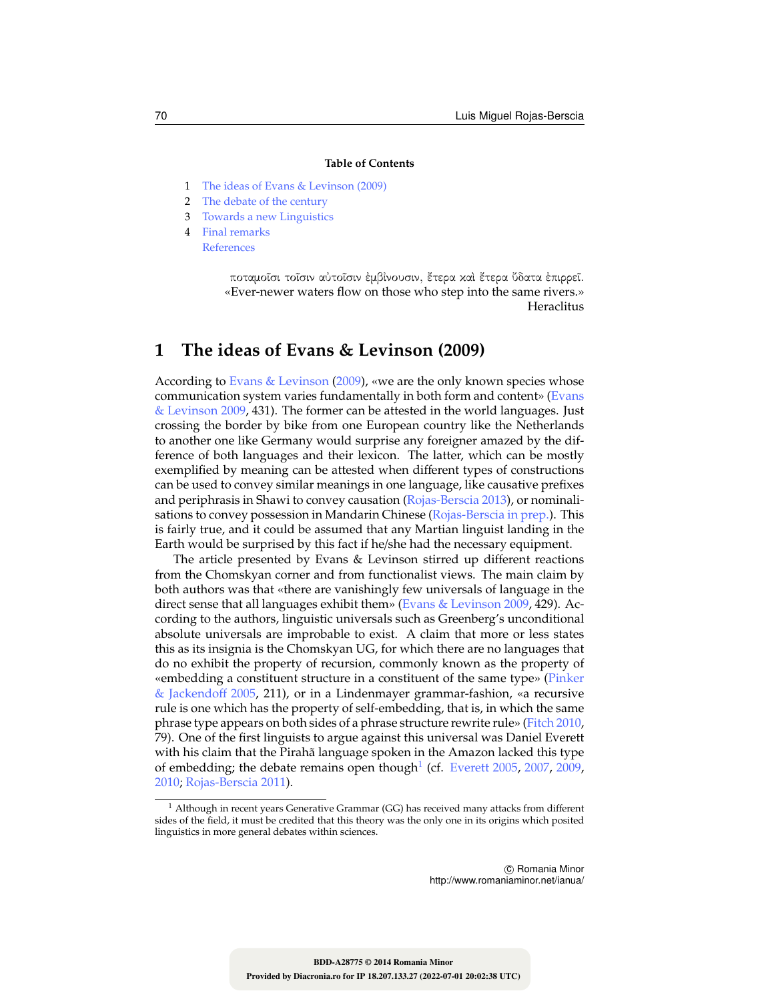#### **Table of Contents**

- 1 The ideas of Evans & Levinson (2009)
- 2 The debate of the century
- 3 Towards a new Linguistics
- 4 Final remarks References

ποταμοῖσι τοῖσιν αὐτοῖσιν ἐμβίνουσιν, ἔτερα καὶ ἔτερα ὔδατα ἐπιρρεῖ. «Ever-newer waters flow on those who step into the same rivers.» Heraclitus

# **1 The ideas of Evans & Levinson (2009)**

According to Evans & Levinson (2009), «we are the only known species whose communication system varies fundamentally in both form and content» (Evans & Levinson 2009, 431). The former can be attested in the world languages. Just crossing the border by bike from one European country like the Netherlands to another one like Germany would surprise any foreigner amazed by the difference of both languages and their lexicon. The latter, which can be mostly exemplified by meaning can be attested when different types of constructions can be used to convey similar meanings in one language, like causative prefixes and periphrasis in Shawi to convey causation (Rojas-Berscia 2013), or nominalisations to convey possession in Mandarin Chinese (Rojas-Berscia in prep.). This is fairly true, and it could be assumed that any Martian linguist landing in the Earth would be surprised by this fact if he/she had the necessary equipment.

The article presented by Evans & Levinson stirred up different reactions from the Chomskyan corner and from functionalist views. The main claim by both authors was that «there are vanishingly few universals of language in the direct sense that all languages exhibit them» (Evans & Levinson 2009, 429). According to the authors, linguistic universals such as Greenberg's unconditional absolute universals are improbable to exist. A claim that more or less states this as its insignia is the Chomskyan UG, for which there are no languages that do no exhibit the property of recursion, commonly known as the property of «embedding a constituent structure in a constituent of the same type» (Pinker & Jackendoff 2005, 211), or in a Lindenmayer grammar-fashion, «a recursive rule is one which has the property of self-embedding, that is, in which the same phrase type appears on both sides of a phrase structure rewrite rule» (Fitch 2010, 79). One of the first linguists to argue against this universal was Daniel Everett with his claim that the Pirahã language spoken in the Amazon lacked this type of embedding; the debate remains open though $^1$  (cf. Everett 2005, 2007, 2009, 2010; Rojas-Berscia 2011).

 $^1$  Although in recent years Generative Grammar (GG) has received many attacks from different sides of the field, it must be credited that this theory was the only one in its origins which posited linguistics in more general debates within sciences.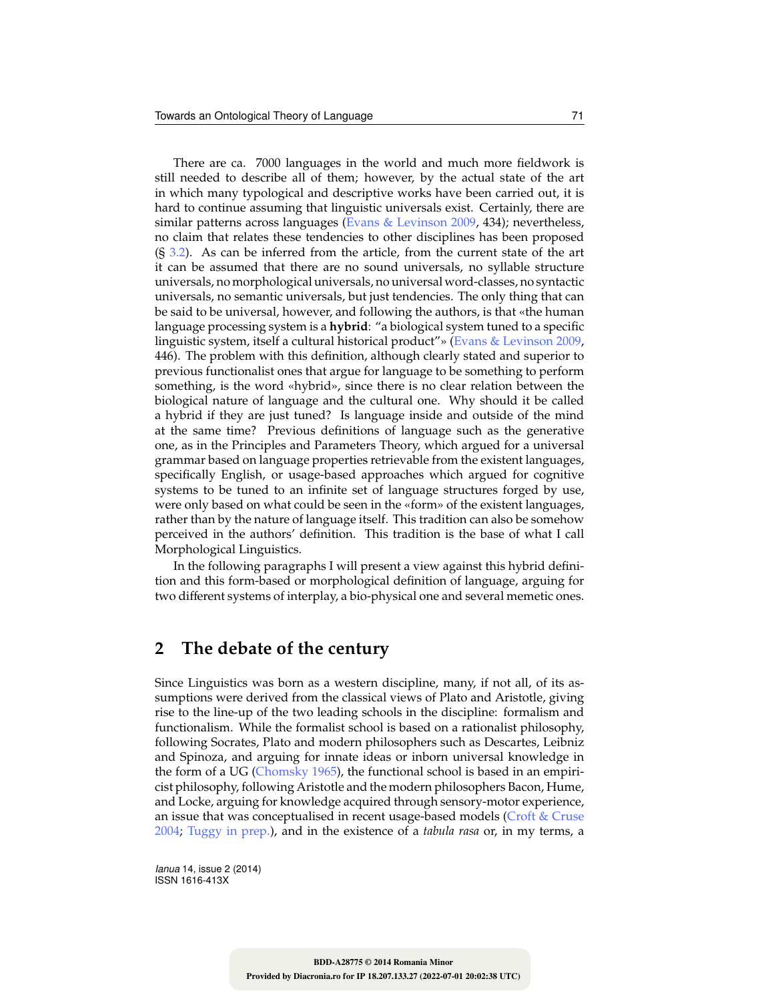There are ca. 7000 languages in the world and much more fieldwork is still needed to describe all of them; however, by the actual state of the art in which many typological and descriptive works have been carried out, it is hard to continue assuming that linguistic universals exist. Certainly, there are similar patterns across languages (Evans & Levinson 2009, 434); nevertheless, no claim that relates these tendencies to other disciplines has been proposed  $(S<sub>3.2</sub>)$ . As can be inferred from the article, from the current state of the art it can be assumed that there are no sound universals, no syllable structure universals, no morphological universals, no universal word-classes, no syntactic universals, no semantic universals, but just tendencies. The only thing that can be said to be universal, however, and following the authors, is that «the human language processing system is a **hybrid**: "a biological system tuned to a specific linguistic system, itself a cultural historical product"» (Evans & Levinson 2009, 446). The problem with this definition, although clearly stated and superior to previous functionalist ones that argue for language to be something to perform something, is the word «hybrid», since there is no clear relation between the biological nature of language and the cultural one. Why should it be called a hybrid if they are just tuned? Is language inside and outside of the mind at the same time? Previous definitions of language such as the generative one, as in the Principles and Parameters Theory, which argued for a universal grammar based on language properties retrievable from the existent languages, specifically English, or usage-based approaches which argued for cognitive systems to be tuned to an infinite set of language structures forged by use, were only based on what could be seen in the «form» of the existent languages, rather than by the nature of language itself. This tradition can also be somehow perceived in the authors' definition. This tradition is the base of what I call Morphological Linguistics.

In the following paragraphs I will present a view against this hybrid definition and this form-based or morphological definition of language, arguing for two different systems of interplay, a bio-physical one and several memetic ones.

## **2 The debate of the century**

Since Linguistics was born as a western discipline, many, if not all, of its assumptions were derived from the classical views of Plato and Aristotle, giving rise to the line-up of the two leading schools in the discipline: formalism and functionalism. While the formalist school is based on a rationalist philosophy, following Socrates, Plato and modern philosophers such as Descartes, Leibniz and Spinoza, and arguing for innate ideas or inborn universal knowledge in the form of a UG (Chomsky 1965), the functional school is based in an empiricist philosophy, following Aristotle and the modern philosophers Bacon, Hume, and Locke, arguing for knowledge acquired through sensory-motor experience, an issue that was conceptualised in recent usage-based models (Croft & Cruse 2004; Tuggy in prep.), and in the existence of a *tabula rasa* or, in my terms, a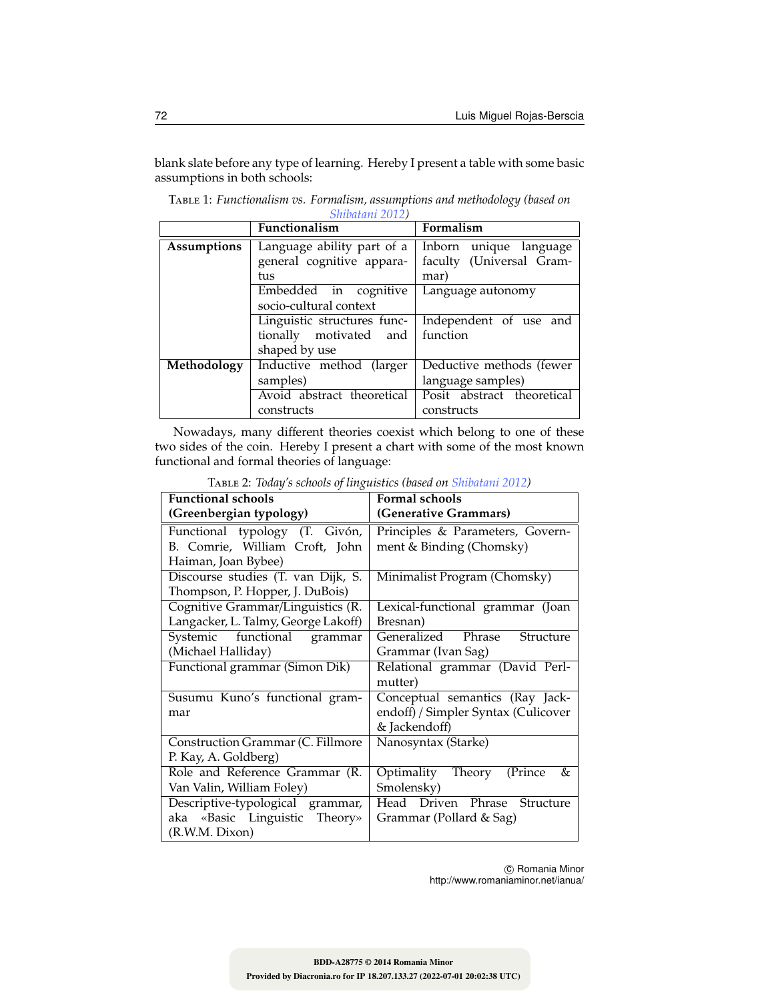blank slate before any type of learning. Hereby I present a table with some basic assumptions in both schools:

|             | $OIII$ ulu $III$ $\angle$ UI $\angle$<br>Functionalism | Formalism                  |
|-------------|--------------------------------------------------------|----------------------------|
| Assumptions | Language ability part of a                             | Inborn unique language     |
|             | general cognitive appara-                              | faculty (Universal Gram-   |
|             | tus                                                    | mar)                       |
|             | in cognitive<br>Embedded                               | Language autonomy          |
|             | socio-cultural context                                 |                            |
|             | Linguistic structures func-                            | Independent of use and     |
|             | tionally motivated and                                 | function                   |
|             | shaped by use                                          |                            |
| Methodology | Inductive method (larger                               | Deductive methods (fewer   |
|             | samples)                                               | language samples)          |
|             | Avoid abstract theoretical                             | Posit abstract theoretical |
|             | constructs                                             | constructs                 |

Table 1: *Functionalism vs. Formalism, assumptions and methodology (based on Shibatani 2012)*

Nowadays, many different theories coexist which belong to one of these two sides of the coin. Hereby I present a chart with some of the most known functional and formal theories of language:

| $\circ$<br><b>Functional schools</b> | Formal schools                      |  |
|--------------------------------------|-------------------------------------|--|
| (Greenbergian typology)              | (Generative Grammars)               |  |
| Functional typology (T. Givón,       | Principles & Parameters, Govern-    |  |
| B. Comrie, William Croft, John       | ment & Binding (Chomsky)            |  |
| Haiman, Joan Bybee)                  |                                     |  |
| Discourse studies (T. van Dijk, S.   | Minimalist Program (Chomsky)        |  |
| Thompson, P. Hopper, J. DuBois)      |                                     |  |
| Cognitive Grammar/Linguistics (R.    | Lexical-functional grammar (Joan    |  |
| Langacker, L. Talmy, George Lakoff)  | Bresnan)                            |  |
| Systemic functional grammar          | Generalized Phrase<br>Structure     |  |
| (Michael Halliday)                   | Grammar (Ivan Sag)                  |  |
| Functional grammar (Simon Dik)       | Relational grammar (David Perl-     |  |
|                                      | mutter)                             |  |
| Susumu Kuno's functional gram-       | Conceptual semantics (Ray Jack-     |  |
| mar                                  | endoff) / Simpler Syntax (Culicover |  |
|                                      | & Jackendoff)                       |  |
| Construction Grammar (C. Fillmore    | Nanosyntax (Starke)                 |  |
| P. Kay, A. Goldberg)                 |                                     |  |
| Role and Reference Grammar (R.       | Optimality Theory (Prince<br>&      |  |
| Van Valin, William Foley)            | Smolensky)                          |  |
| Descriptive-typological grammar,     | Head Driven Phrase<br>Structure     |  |
| aka «Basic Linguistic Theory»        | Grammar (Pollard & Sag)             |  |
| (R.W.M. Dixon)                       |                                     |  |

Table 2: *Today's schools of linguistics (based on Shibatani 2012)*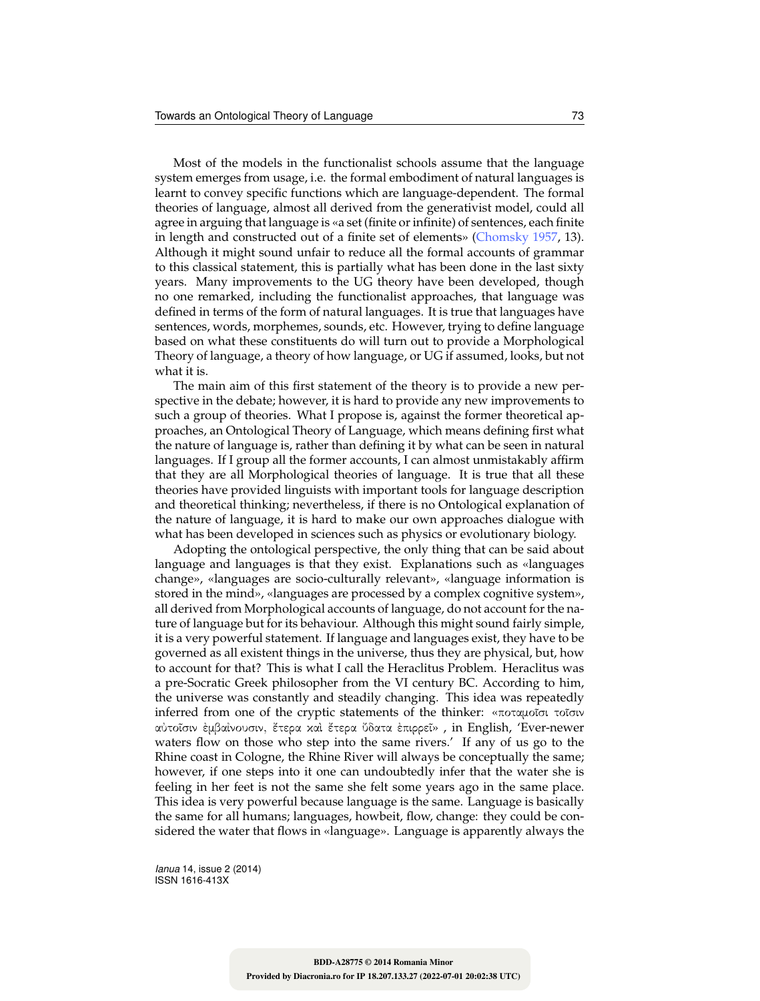Most of the models in the functionalist schools assume that the language system emerges from usage, i.e. the formal embodiment of natural languages is learnt to convey specific functions which are language-dependent. The formal theories of language, almost all derived from the generativist model, could all agree in arguing that language is «a set (finite or infinite) of sentences, each finite in length and constructed out of a finite set of elements» (Chomsky 1957, 13). Although it might sound unfair to reduce all the formal accounts of grammar to this classical statement, this is partially what has been done in the last sixty years. Many improvements to the UG theory have been developed, though no one remarked, including the functionalist approaches, that language was defined in terms of the form of natural languages. It is true that languages have sentences, words, morphemes, sounds, etc. However, trying to define language based on what these constituents do will turn out to provide a Morphological Theory of language, a theory of how language, or UG if assumed, looks, but not what it is.

The main aim of this first statement of the theory is to provide a new perspective in the debate; however, it is hard to provide any new improvements to such a group of theories. What I propose is, against the former theoretical approaches, an Ontological Theory of Language, which means defining first what the nature of language is, rather than defining it by what can be seen in natural languages. If I group all the former accounts, I can almost unmistakably affirm that they are all Morphological theories of language. It is true that all these theories have provided linguists with important tools for language description and theoretical thinking; nevertheless, if there is no Ontological explanation of the nature of language, it is hard to make our own approaches dialogue with what has been developed in sciences such as physics or evolutionary biology.

Adopting the ontological perspective, the only thing that can be said about language and languages is that they exist. Explanations such as «languages change», «languages are socio-culturally relevant», «language information is stored in the mind», «languages are processed by a complex cognitive system», all derived from Morphological accounts of language, do not account for the nature of language but for its behaviour. Although this might sound fairly simple, it is a very powerful statement. If language and languages exist, they have to be governed as all existent things in the universe, thus they are physical, but, how to account for that? This is what I call the Heraclitus Problem. Heraclitus was a pre-Socratic Greek philosopher from the VI century BC. According to him, the universe was constantly and steadily changing. This idea was repeatedly inferred from one of the cryptic statements of the thinker: «ποταμοῖσι τοῖσιν αὐτο˜ισιν ἐμβαἰνουσιν, ἔτερα καὶ ἔτερα ὔδατα ἐπιρρε˜ι» , in English, 'Ever-newer waters flow on those who step into the same rivers.' If any of us go to the Rhine coast in Cologne, the Rhine River will always be conceptually the same; however, if one steps into it one can undoubtedly infer that the water she is feeling in her feet is not the same she felt some years ago in the same place. This idea is very powerful because language is the same. Language is basically the same for all humans; languages, howbeit, flow, change: they could be considered the water that flows in «language». Language is apparently always the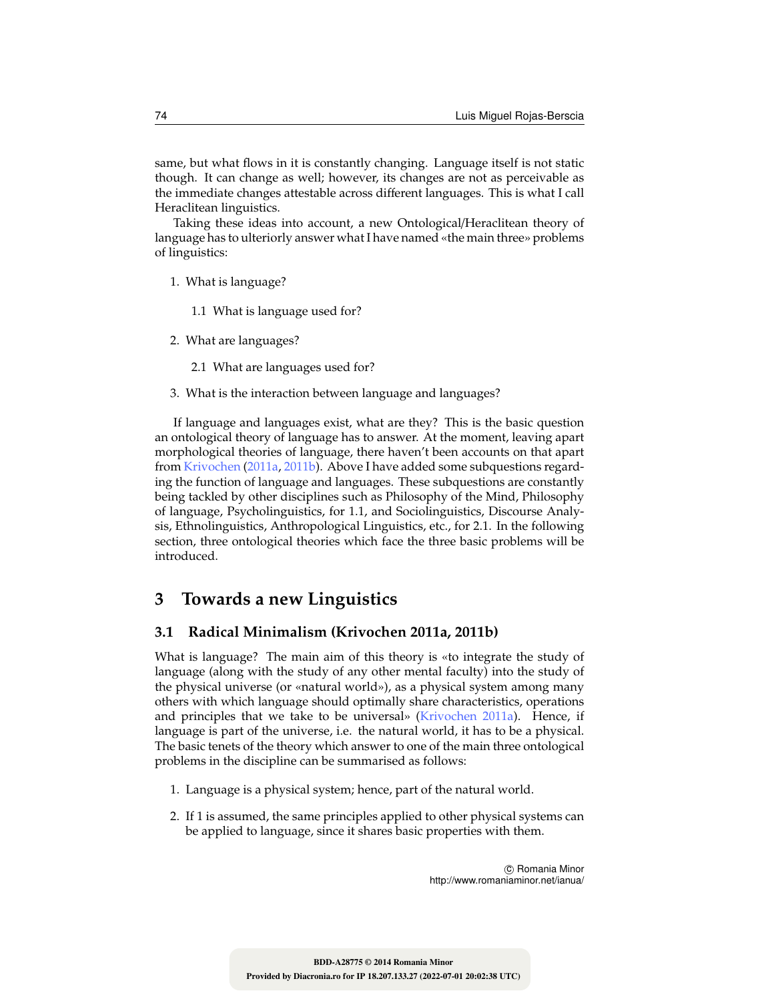same, but what flows in it is constantly changing. Language itself is not static though. It can change as well; however, its changes are not as perceivable as the immediate changes attestable across different languages. This is what I call Heraclitean linguistics.

Taking these ideas into account, a new Ontological/Heraclitean theory of language has to ulteriorly answer what I have named «the main three» problems of linguistics:

- 1. What is language?
	- 1.1 What is language used for?
- 2. What are languages?
	- 2.1 What are languages used for?
- 3. What is the interaction between language and languages?

If language and languages exist, what are they? This is the basic question an ontological theory of language has to answer. At the moment, leaving apart morphological theories of language, there haven't been accounts on that apart from Krivochen (2011a, 2011b). Above I have added some subquestions regarding the function of language and languages. These subquestions are constantly being tackled by other disciplines such as Philosophy of the Mind, Philosophy of language, Psycholinguistics, for 1.1, and Sociolinguistics, Discourse Analysis, Ethnolinguistics, Anthropological Linguistics, etc., for 2.1. In the following section, three ontological theories which face the three basic problems will be introduced.

## **3 Towards a new Linguistics**

## **3.1 Radical Minimalism (Krivochen 2011a, 2011b)**

What is language? The main aim of this theory is «to integrate the study of language (along with the study of any other mental faculty) into the study of the physical universe (or «natural world»), as a physical system among many others with which language should optimally share characteristics, operations and principles that we take to be universal» (Krivochen 2011a). Hence, if language is part of the universe, i.e. the natural world, it has to be a physical. The basic tenets of the theory which answer to one of the main three ontological problems in the discipline can be summarised as follows:

- 1. Language is a physical system; hence, part of the natural world.
- 2. If 1 is assumed, the same principles applied to other physical systems can be applied to language, since it shares basic properties with them.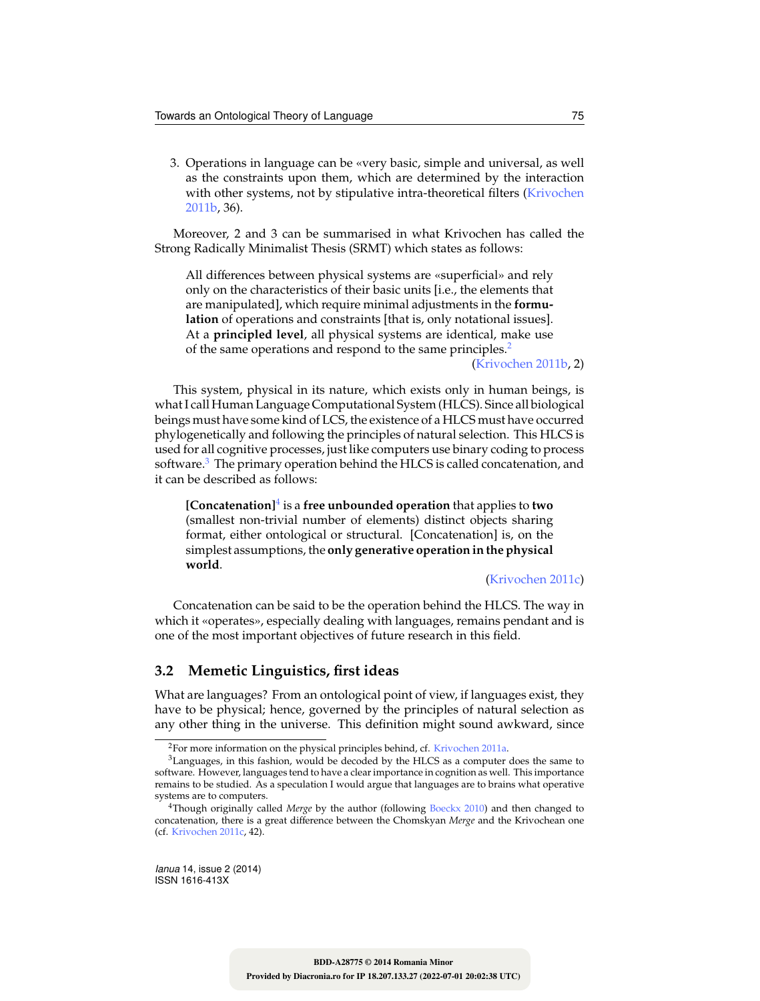3. Operations in language can be «very basic, simple and universal, as well as the constraints upon them, which are determined by the interaction with other systems, not by stipulative intra-theoretical filters (Krivochen 2011b, 36).

Moreover, 2 and 3 can be summarised in what Krivochen has called the Strong Radically Minimalist Thesis (SRMT) which states as follows:

All differences between physical systems are «superficial» and rely only on the characteristics of their basic units [i.e., the elements that are manipulated], which require minimal adjustments in the **formulation** of operations and constraints [that is, only notational issues]. At a **principled level**, all physical systems are identical, make use of the same operations and respond to the same principles.<sup>2</sup>

(Krivochen 2011b, 2)

This system, physical in its nature, which exists only in human beings, is what I call Human Language Computational System (HLCS). Since all biological beings must have some kind of LCS, the existence of a HLCS must have occurred phylogenetically and following the principles of natural selection. This HLCS is used for all cognitive processes, just like computers use binary coding to process software.<sup>3</sup> The primary operation behind the HLCS is called concatenation, and it can be described as follows:

**[Concatenation]**<sup>4</sup> is a **free unbounded operation** that applies to **two** (smallest non-trivial number of elements) distinct objects sharing format, either ontological or structural. [Concatenation] is, on the simplest assumptions, the **only generative operation in the physical world**.

(Krivochen 2011c)

Concatenation can be said to be the operation behind the HLCS. The way in which it «operates», especially dealing with languages, remains pendant and is one of the most important objectives of future research in this field.

### **3.2 Memetic Linguistics, first ideas**

What are languages? From an ontological point of view, if languages exist, they have to be physical; hence, governed by the principles of natural selection as any other thing in the universe. This definition might sound awkward, since

<sup>&</sup>lt;sup>2</sup>For more information on the physical principles behind, cf. Krivochen 2011a.

 $3$ Languages, in this fashion, would be decoded by the HLCS as a computer does the same to software. However, languages tend to have a clear importance in cognition as well. This importance remains to be studied. As a speculation I would argue that languages are to brains what operative systems are to computers.

<sup>4</sup>Though originally called *Merge* by the author (following Boeckx 2010) and then changed to concatenation, there is a great difference between the Chomskyan *Merge* and the Krivochean one (cf. Krivochen 2011c, 42).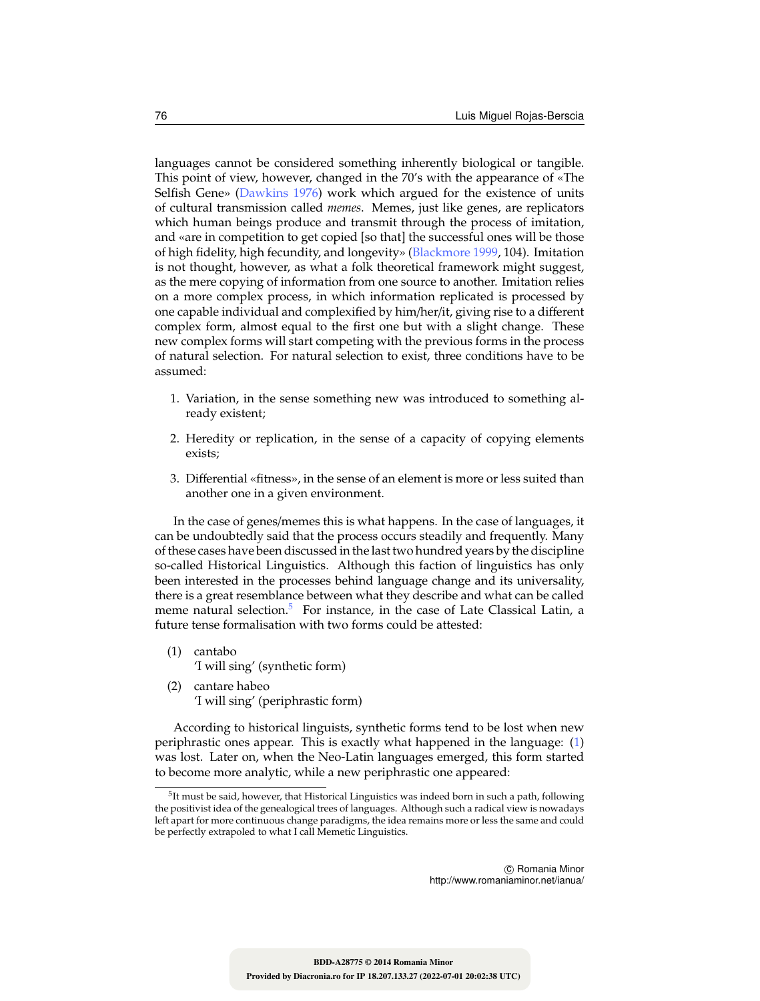languages cannot be considered something inherently biological or tangible. This point of view, however, changed in the 70's with the appearance of «The Selfish Gene» (Dawkins 1976) work which argued for the existence of units of cultural transmission called *memes*. Memes, just like genes, are replicators which human beings produce and transmit through the process of imitation, and «are in competition to get copied [so that] the successful ones will be those of high fidelity, high fecundity, and longevity» (Blackmore 1999, 104). Imitation is not thought, however, as what a folk theoretical framework might suggest, as the mere copying of information from one source to another. Imitation relies on a more complex process, in which information replicated is processed by one capable individual and complexified by him/her/it, giving rise to a different complex form, almost equal to the first one but with a slight change. These new complex forms will start competing with the previous forms in the process of natural selection. For natural selection to exist, three conditions have to be assumed:

- 1. Variation, in the sense something new was introduced to something already existent;
- 2. Heredity or replication, in the sense of a capacity of copying elements exists;
- 3. Differential «fitness», in the sense of an element is more or less suited than another one in a given environment.

In the case of genes/memes this is what happens. In the case of languages, it can be undoubtedly said that the process occurs steadily and frequently. Many of these cases have been discussed in the last two hundred years by the discipline so-called Historical Linguistics. Although this faction of linguistics has only been interested in the processes behind language change and its universality, there is a great resemblance between what they describe and what can be called meme natural selection.<sup>5</sup> For instance, in the case of Late Classical Latin, a future tense formalisation with two forms could be attested:

- (1) cantabo 'I will sing' (synthetic form)
- (2) cantare habeo 'I will sing' (periphrastic form)

According to historical linguists, synthetic forms tend to be lost when new periphrastic ones appear. This is exactly what happened in the language: (1) was lost. Later on, when the Neo-Latin languages emerged, this form started to become more analytic, while a new periphrastic one appeared:

 $^5$ It must be said, however, that Historical Linguistics was indeed born in such a path, following the positivist idea of the genealogical trees of languages. Although such a radical view is nowadays left apart for more continuous change paradigms, the idea remains more or less the same and could be perfectly extrapoled to what I call Memetic Linguistics.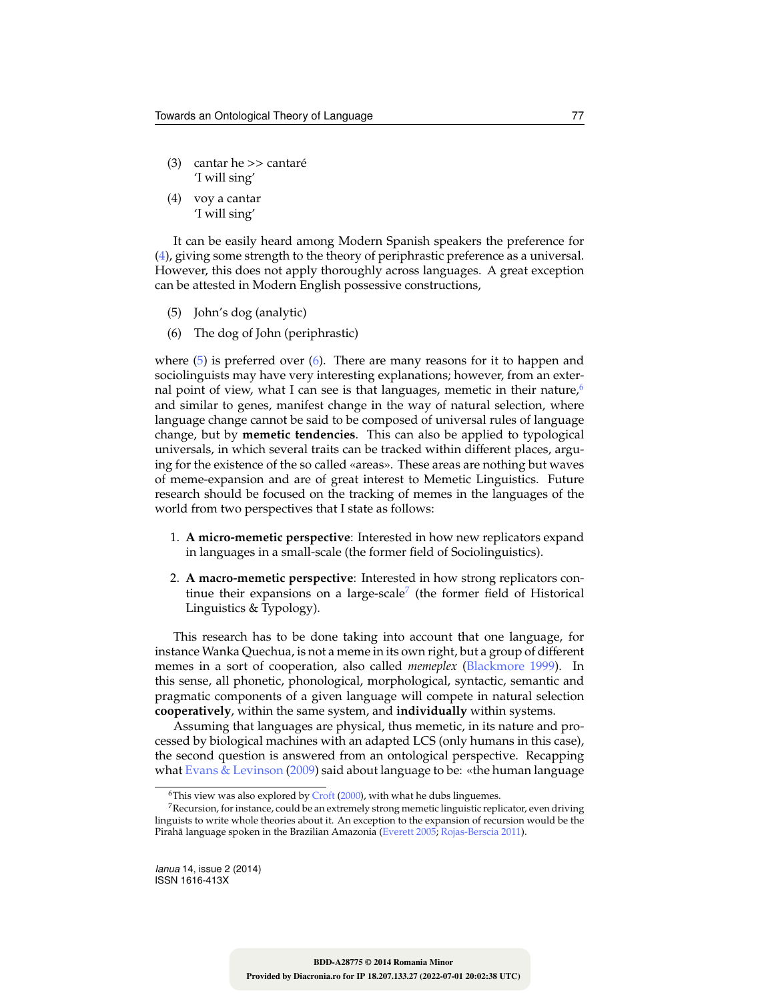- (3) cantar he >> cantaré 'I will sing'
- (4) voy a cantar 'I will sing'

It can be easily heard among Modern Spanish speakers the preference for (4), giving some strength to the theory of periphrastic preference as a universal. However, this does not apply thoroughly across languages. A great exception can be attested in Modern English possessive constructions,

- (5) John's dog (analytic)
- (6) The dog of John (periphrastic)

where (5) is preferred over (6). There are many reasons for it to happen and sociolinguists may have very interesting explanations; however, from an external point of view, what I can see is that languages, memetic in their nature,<sup>6</sup> and similar to genes, manifest change in the way of natural selection, where language change cannot be said to be composed of universal rules of language change, but by **memetic tendencies**. This can also be applied to typological universals, in which several traits can be tracked within different places, arguing for the existence of the so called «areas». These areas are nothing but waves of meme-expansion and are of great interest to Memetic Linguistics. Future research should be focused on the tracking of memes in the languages of the world from two perspectives that I state as follows:

- 1. **A micro-memetic perspective**: Interested in how new replicators expand in languages in a small-scale (the former field of Sociolinguistics).
- 2. **A macro-memetic perspective**: Interested in how strong replicators continue their expansions on a large-scale $^7$  (the former field of Historical Linguistics & Typology).

This research has to be done taking into account that one language, for instance Wanka Quechua, is not a meme in its own right, but a group of different memes in a sort of cooperation, also called *memeplex* (Blackmore 1999). In this sense, all phonetic, phonological, morphological, syntactic, semantic and pragmatic components of a given language will compete in natural selection **cooperatively**, within the same system, and **individually** within systems.

Assuming that languages are physical, thus memetic, in its nature and processed by biological machines with an adapted LCS (only humans in this case), the second question is answered from an ontological perspective. Recapping what Evans  $&$  Levinson (2009) said about language to be: «the human language

<sup>&</sup>lt;sup>6</sup>This view was also explored by  $Crotf$  (2000), with what he dubs linguemes.

 $7$ Recursion, for instance, could be an extremely strong memetic linguistic replicator, even driving linguists to write whole theories about it. An exception to the expansion of recursion would be the Pirahã language spoken in the Brazilian Amazonia (Everett 2005; Rojas-Berscia 2011).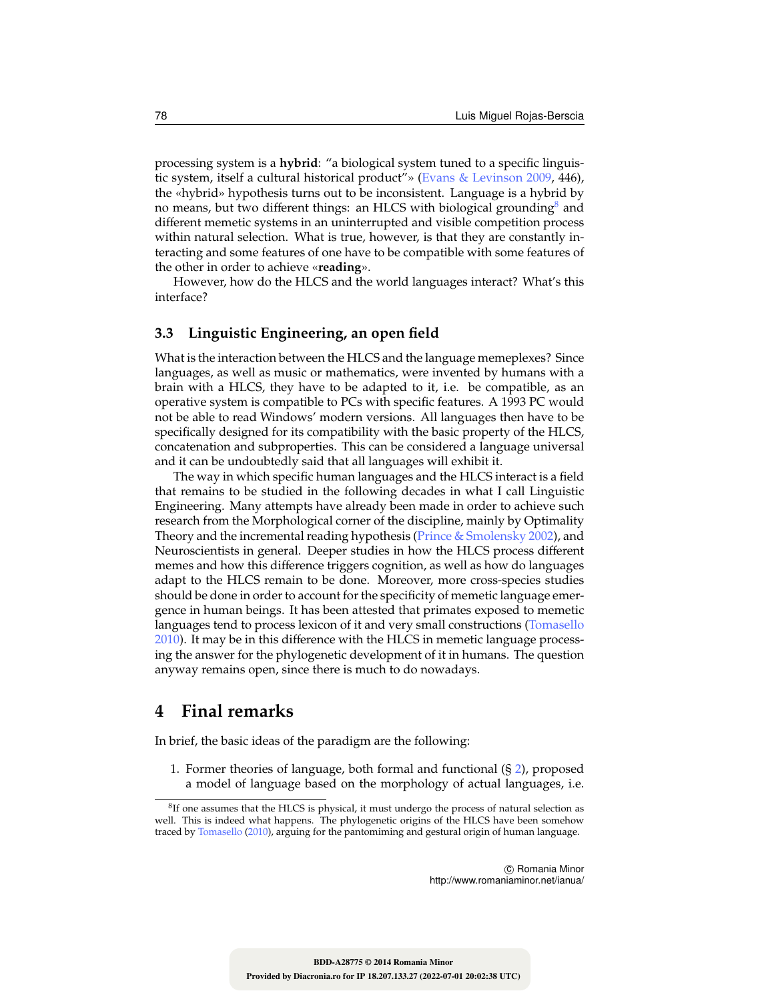processing system is a **hybrid**: "a biological system tuned to a specific linguistic system, itself a cultural historical product"» (Evans & Levinson 2009, 446), the «hybrid» hypothesis turns out to be inconsistent. Language is a hybrid by no means, but two different things: an HLCS with biological grounding<sup>8</sup> and different memetic systems in an uninterrupted and visible competition process within natural selection. What is true, however, is that they are constantly interacting and some features of one have to be compatible with some features of the other in order to achieve «**reading**».

However, how do the HLCS and the world languages interact? What's this interface?

### **3.3 Linguistic Engineering, an open field**

What is the interaction between the HLCS and the language memeplexes? Since languages, as well as music or mathematics, were invented by humans with a brain with a HLCS, they have to be adapted to it, i.e. be compatible, as an operative system is compatible to PCs with specific features. A 1993 PC would not be able to read Windows' modern versions. All languages then have to be specifically designed for its compatibility with the basic property of the HLCS, concatenation and subproperties. This can be considered a language universal and it can be undoubtedly said that all languages will exhibit it.

The way in which specific human languages and the HLCS interact is a field that remains to be studied in the following decades in what I call Linguistic Engineering. Many attempts have already been made in order to achieve such research from the Morphological corner of the discipline, mainly by Optimality Theory and the incremental reading hypothesis ( $Prince \& Smolensky 2002$ ), and Neuroscientists in general. Deeper studies in how the HLCS process different memes and how this difference triggers cognition, as well as how do languages adapt to the HLCS remain to be done. Moreover, more cross-species studies should be done in order to account for the specificity of memetic language emergence in human beings. It has been attested that primates exposed to memetic languages tend to process lexicon of it and very small constructions (Tomasello 2010). It may be in this difference with the HLCS in memetic language processing the answer for the phylogenetic development of it in humans. The question anyway remains open, since there is much to do nowadays.

## **4 Final remarks**

In brief, the basic ideas of the paradigm are the following:

1. Former theories of language, both formal and functional (§ 2), proposed a model of language based on the morphology of actual languages, i.e.

 ${}^{8}$ If one assumes that the HLCS is physical, it must undergo the process of natural selection as well. This is indeed what happens. The phylogenetic origins of the HLCS have been somehow traced by Tomasello (2010), arguing for the pantomiming and gestural origin of human language.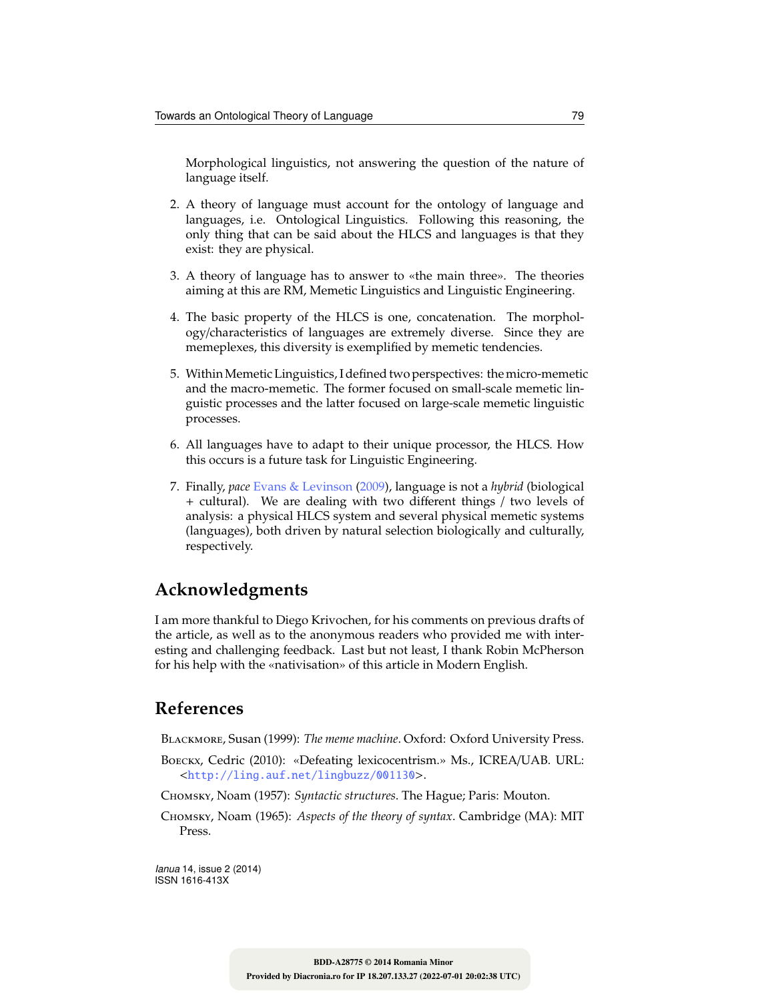Morphological linguistics, not answering the question of the nature of language itself.

- 2. A theory of language must account for the ontology of language and languages, i.e. Ontological Linguistics. Following this reasoning, the only thing that can be said about the HLCS and languages is that they exist: they are physical.
- 3. A theory of language has to answer to «the main three». The theories aiming at this are RM, Memetic Linguistics and Linguistic Engineering.
- 4. The basic property of the HLCS is one, concatenation. The morphology/characteristics of languages are extremely diverse. Since they are memeplexes, this diversity is exemplified by memetic tendencies.
- 5. WithinMemetic Linguistics, I defined two perspectives: the micro-memetic and the macro-memetic. The former focused on small-scale memetic linguistic processes and the latter focused on large-scale memetic linguistic processes.
- 6. All languages have to adapt to their unique processor, the HLCS. How this occurs is a future task for Linguistic Engineering.
- 7. Finally, *pace* Evans & Levinson (2009), language is not a *hybrid* (biological + cultural). We are dealing with two different things / two levels of analysis: a physical HLCS system and several physical memetic systems (languages), both driven by natural selection biologically and culturally, respectively.

## **Acknowledgments**

I am more thankful to Diego Krivochen, for his comments on previous drafts of the article, as well as to the anonymous readers who provided me with interesting and challenging feedback. Last but not least, I thank Robin McPherson for his help with the «nativisation» of this article in Modern English.

## **References**

Blackmore, Susan (1999): *The meme machine*. Oxford: Oxford University Press.

- Boeckx, Cedric (2010): «Defeating lexicocentrism.» Ms., ICREA/UAB. URL: <http://ling.auf.net/lingbuzz/001130>.
- Chomsky, Noam (1957): *Syntactic structures*. The Hague; Paris: Mouton.
- Chomsky, Noam (1965): *Aspects of the theory of syntax*. Cambridge (MA): MIT Press.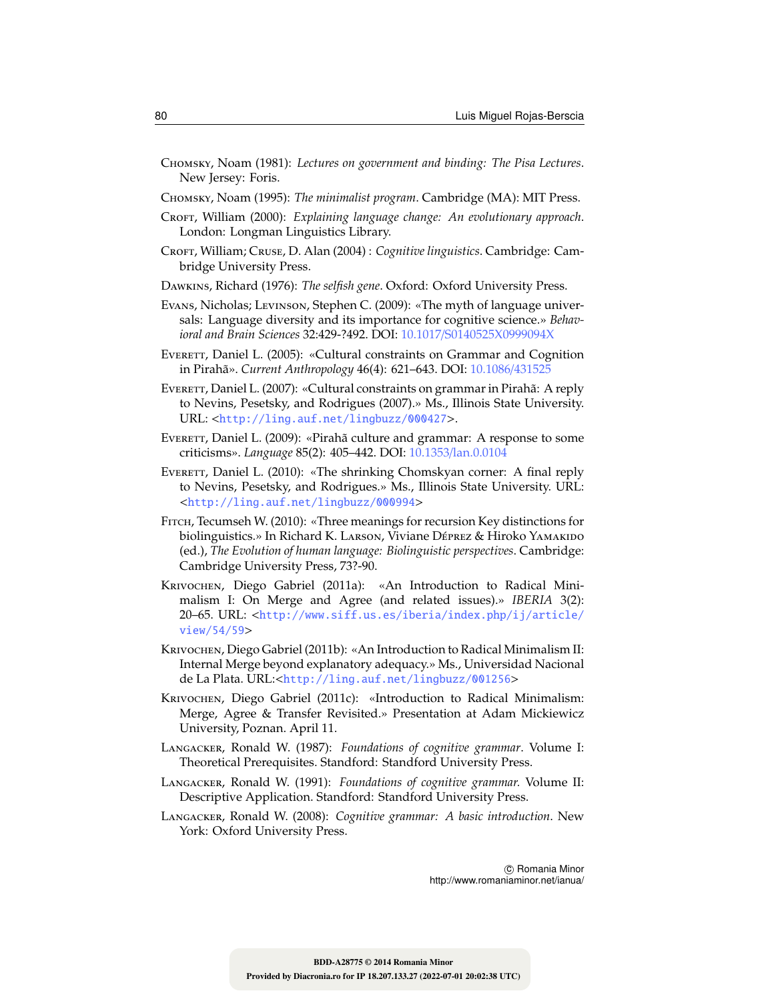- Chomsky, Noam (1981): *Lectures on government and binding: The Pisa Lectures*. New Jersey: Foris.
- Chomsky, Noam (1995): *The minimalist program*. Cambridge (MA): MIT Press.
- CROFT, William (2000): *Explaining language change: An evolutionary approach*. London: Longman Linguistics Library.
- Croft, William; Cruse, D. Alan (2004) : *Cognitive linguistics*. Cambridge: Cambridge University Press.
- Dawkins, Richard (1976): *The selfish gene*. Oxford: Oxford University Press.
- Evans, Nicholas; Levinson, Stephen C. (2009): «The myth of language universals: Language diversity and its importance for cognitive science.» *Behavioral and Brain Sciences* 32:429-?492. DOI: 10.1017/S0140525X0999094X
- EVERETT, Daniel L. (2005): «Cultural constraints on Grammar and Cognition in Pirahã». *Current Anthropology* 46(4): 621–643. DOI: 10.1086/431525
- EVERETT, Daniel L. (2007): «Cultural constraints on grammar in Pirahã: A reply to Nevins, Pesetsky, and Rodrigues (2007).» Ms., Illinois State University. URL: <http://ling.auf.net/lingbuzz/000427>.
- EvERETT, Daniel L. (2009): «Pirahã culture and grammar: A response to some criticisms». *Language* 85(2): 405–442. DOI: 10.1353/lan.0.0104
- EVERETT, Daniel L. (2010): «The shrinking Chomskyan corner: A final reply to Nevins, Pesetsky, and Rodrigues.» Ms., Illinois State University. URL: <http://ling.auf.net/lingbuzz/000994>
- Fitch, Tecumseh W. (2010): «Three meanings for recursion Key distinctions for biolinguistics.» In Richard K. LARSON, Viviane Déprez & Hiroko YAMAKIDO (ed.), *The Evolution of human language: Biolinguistic perspectives*. Cambridge: Cambridge University Press, 73?-90.
- Krivochen, Diego Gabriel (2011a): «An Introduction to Radical Minimalism I: On Merge and Agree (and related issues).» *IBERIA* 3(2): 20–65. URL: <http://www.siff.us.es/iberia/index.php/ij/article/ view/54/59>
- Krivochen, Diego Gabriel (2011b): «An Introduction to Radical Minimalism II: Internal Merge beyond explanatory adequacy.» Ms., Universidad Nacional de La Plata. URL:<http://ling.auf.net/lingbuzz/001256>
- Krivochen, Diego Gabriel (2011c): «Introduction to Radical Minimalism: Merge, Agree & Transfer Revisited.» Presentation at Adam Mickiewicz University, Poznan. April 11.
- Langacker, Ronald W. (1987): *Foundations of cognitive grammar*. Volume I: Theoretical Prerequisites. Standford: Standford University Press.
- Langacker, Ronald W. (1991): *Foundations of cognitive grammar.* Volume II: Descriptive Application. Standford: Standford University Press.
- Langacker, Ronald W. (2008): *Cognitive grammar: A basic introduction*. New York: Oxford University Press.